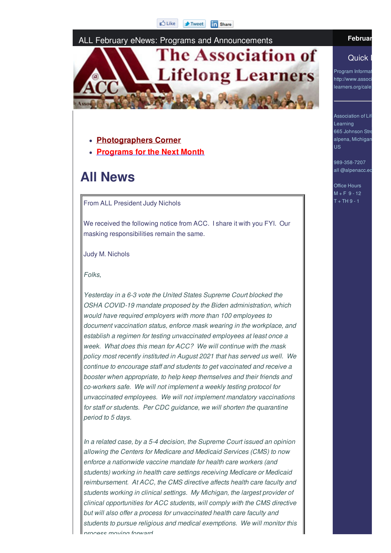#### ALL February eNews: Programs and Announcements



- **Photographers Corner**
- **Programs for the Next Month**

# **All News**

From ALL President Judy Nichols

We received the following notice from ACC. I share it with you FYI. Our masking responsibilities remain the same.

Judy M. Nichols

*Folks,*

*Yesterday in a 6-3 vote the United States Supreme Court blocked the OSHA COVID-19 mandate proposed by the Biden administration, which would have required employers with more than 100 employees to document vaccination status, enforce mask wearing in the workplace, and establish a regimen for testing unvaccinated employees at least once a week. What does this mean for ACC? We will continue with the mask policy most recently instituted in August 2021 that has served us well. We continue to encourage staff and students to get vaccinated and receive a booster when appropriate, to help keep themselves and their friends and co-workers safe. We will not implement a weekly testing protocol for unvaccinated employees. We will not implement mandatory vaccinations for staff or students. Per CDC guidance, we will shorten the quarantine period to 5 days.*

*In a related case, by a 5-4 decision, the Supreme Court issued an opinion allowing the Centers for Medicare and Medicaid Services (CMS) to now enforce a nationwide vaccine mandate for health care workers (and students) working in health care settings receiving Medicare or Medicaid reimbursement. At ACC, the CMS directive affects health care faculty and students working in clinical settings. My Michigan, the largest provider of clinical opportunities for ACC students, will comply with the CMS directive but will also offer a process for unvaccinated health care faculty and students to pursue religious and medical exemptions. We will monitor this process moving forward.*

#### **Februar**

#### Quick |

Program Informat http://www.associ learners.org/cale

Association of Life Learning 665 Johnson Stre alpena, Michigan US

989-358-7207 all @alpenacc.ed

Office Hours  $M + F$  9 - 12  $T + TH9 - 1$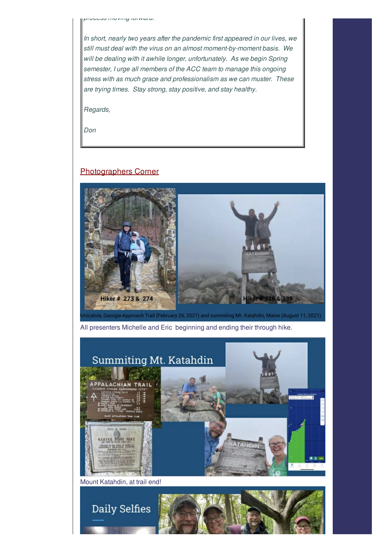*process moving forward.*

*In short, nearly two years after the pandemic first appeared in our lives, we still must deal with the virus on an almost moment-by-moment basis. We will be dealing with it awhile longer, unfortunately. As we begin Spring semester, I urge all members of the ACC team to manage this ongoing stress with as much grace and professionalism as we can muster. These are trying times. Stay strong, stay positive, and stay healthy.*

*Regards,*

*Don*

#### Photographers Corner



All presenters Michelle and Eric beginning and ending their through hike.

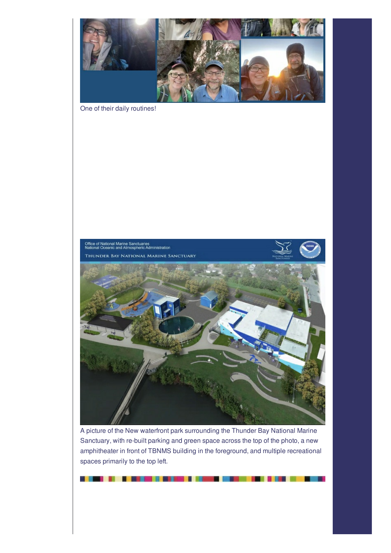

One of their daily routines!



A picture of the New waterfront park surrounding the Thunder Bay National Marine Sanctuary, with re-built parking and green space across the top of the photo, a new amphitheater in front of TBNMS building in the foreground, and multiple recreational spaces primarily to the top left.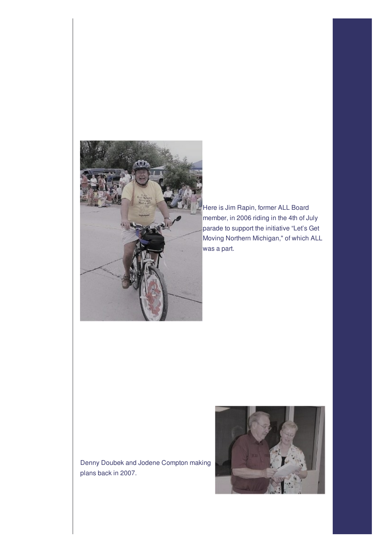

Here is Jim Rapin, former ALL Board member, in 2006 riding in the 4th of July parade to support the initiative "Let's Get Moving Northern Michigan," of which ALL was a part.

Denny Doubek and Jodene Compton making plans back in 2007.

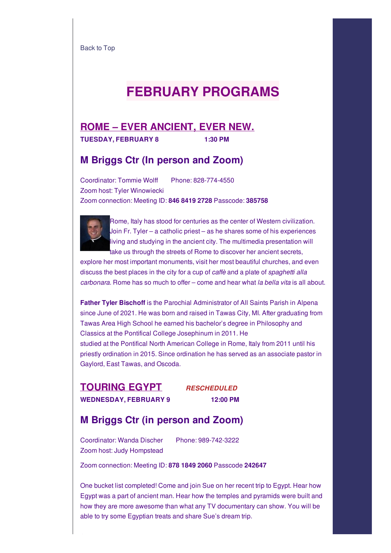Back to Top

# **FEBRUARY PROGRAMS**

#### **ROME – EVER ANCIENT, EVER NEW. TUESDAY, FEBRUARY 8 1:30 PM**

### **M Briggs Ctr (In person and Zoom)**

Coordinator: Tommie Wolff Phone: 828-774-4550 Zoom host: Tyler Winowiecki Zoom connection: Meeting ID: **846 8419 2728** Passcode: **385758**



Rome, Italy has stood for centuries as the center of Western civilization. Join Fr. Tyler – a catholic priest – as he shares some of his experiences living and studying in the ancient city. The multimedia presentation will take us through the streets of Rome to discover her ancient secrets,

explore her most important monuments, visit her most beautiful churches, and even discuss the best places in the city for a cup of *caffè* and a plate of *spaghetti alla carbonara*. Rome has so much to offer – come and hear what *la bella vita* is all about.

**Father Tyler Bischoff** is the Parochial Administrator of All Saints Parish in Alpena since June of 2021. He was born and raised in Tawas City, MI. After graduating from Tawas Area High School he earned his bachelor's degree in Philosophy and Classics at the Pontifical College Josephinum in 2011. He studied at the Pontifical North American College in Rome, Italy from 2011 until his priestly ordination in 2015. Since ordination he has served as an associate pastor in Gaylord, East Tawas, and Oscoda.

**TOURING EGYPT** *RESCHEDULED* **WEDNESDAY, FEBRUARY 9 12:00 PM**

### **M Briggs Ctr (in person and Zoom)**

Coordinator: Wanda Discher Phone: 989-742-3222 Zoom host: Judy Hompstead

Zoom connection: Meeting ID: **878 1849 2060** Passcode **242647**

One bucket list completed! Come and join Sue on her recent trip to Egypt. Hear how Egypt was a part of ancient man. Hear how the temples and pyramids were built and how they are more awesome than what any TV documentary can show. You will be able to try some Egyptian treats and share Sue's dream trip.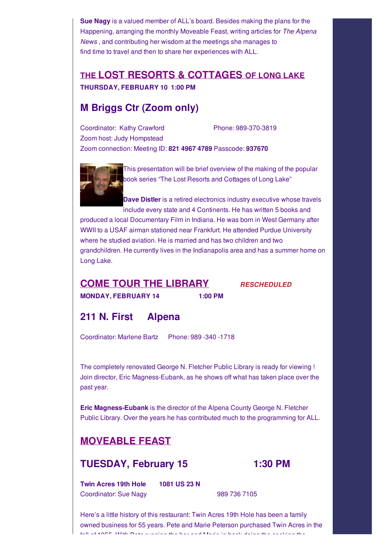**Sue Nagy** is a valued member of ALL's board. Besides making the plans for the Happening, arranging the monthly Moveable Feast, writing articles for *The Alpena News ,* and contributing her wisdom at the meetings she manages to find time to travel and then to share her experiences with ALL.

## **THE LOST RESORTS & COTTAGES OF LONG LAKE THURSDAY, FEBRUARY 10 1:00 PM**

## **M Briggs Ctr (Zoom only)**

Coordinator: Kathy Crawford Phone: 989-370-3819 Zoom host: Judy Hompstead Zoom connection: Meeting ID: **821 4967 4789** Passcode: **937670**



This presentation will be brief overview of the making of the popular book series "The Lost Resorts and Cottages of Long Lake"

**Dave Distler** is a retired electronics industry executive whose travels include every state and 4 Continents. He has written 5 books and produced a local Documentary Film in Indiana. He was born in West Germany after WWII to a USAF airman stationed near Frankfurt. He attended Purdue University

where he studied aviation. He is married and has two children and two grandchildren. He currently lives in the Indianapolis area and has a summer home on Long Lake.

# **COME TOUR THE LIBRARY** *RESCHEDULED*

**MONDAY, FEBRUARY 14 1:00 PM**

# **211 N. First Alpena**

Coordinator: Marlene Bartz Phone: 989 -340 -1718

The completely renovated George N. Fletcher Public Library is ready for viewing ! Join director, Eric Magness-Eubank, as he shows off what has taken place over the past year.

**Eric Magness-Eubank** is the director of the Alpena County George N. Fletcher Public Library. Over the years he has contributed much to the programming for ALL.

# **MOVEABLE FEAST**

# **TUESDAY, February 15 1:30 PM**

**Twin Acres 19th Hole 1081 US 23 N** Coordinator: Sue Nagy 1989 736 7105

Here's a little history of this restaurant: Twin Acres 19th Hole has been a family owned business for 55 years. Pete and Marie Peterson purchased Twin Acres in the fall of 1955. With Peter musculos the bar and Marie in back do bailed and people of the cooking the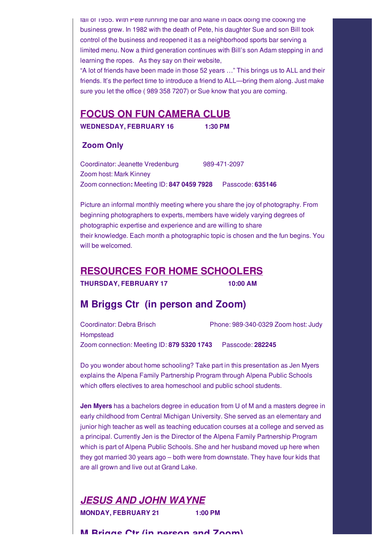fall of 1955. With Pete running the bar and Marie in back doing the cooking the business grew. In 1982 with the death of Pete, his daughter Sue and son Bill took control of the business and reopened it as a neighborhood sports bar serving a limited menu. Now a third generation continues with Bill's son Adam stepping in and learning the ropes. As they say on their website,

"A lot of friends have been made in those 52 years …" This brings us to ALL and their friends. It's the perfect time to introduce a friend to ALL—bring them along. Just make sure you let the office ( 989 358 7207) or Sue know that you are coming.

### **FOCUS ON FUN CAMERA CLUB**

**WEDNESDAY, FEBRUARY 16 1:30 PM**

#### **Zoom Only**

Coordinator: Jeanette Vredenburg 989-471-2097 Zoom host: Mark Kinney Zoom connection**:** Meeting ID: **847 0459 7928** Passcode: **635146**

Picture an informal monthly meeting where you share the joy of photography. From beginning photographers to experts, members have widely varying degrees of photographic expertise and experience and are willing to share their knowledge. Each month a photographic topic is chosen and the fun begins. You will be welcomed.

### **RESOURCES FOR HOME SCHOOLERS**

**THURSDAY, FEBRUARY 17 10:00 AM**

### **M Briggs Ctr (in person and Zoom)**

Coordinator: Debra Brisch Phone: 989-340-0329 Zoom host: Judy **Hompstead** Zoom connection: Meeting ID: **879 5320 1743** Passcode: **282245**

Do you wonder about home schooling? Take part in this presentation as Jen Myers explains the Alpena Family Partnership Program through Alpena Public Schools which offers electives to area homeschool and public school students.

**Jen Myers** has a bachelors degree in education from U of M and a masters degree in early childhood from Central Michigan University. She served as an elementary and junior high teacher as well as teaching education courses at a college and served as a principal. Currently Jen is the Director of the Alpena Family Partnership Program which is part of Alpena Public Schools. She and her husband moved up here when they got married 30 years ago – both were from downstate. They have four kids that are all grown and live out at Grand Lake.

*JESUS AND JOHN WAYNE* **MONDAY, FEBRUARY 21 1:00 PM**

**M Briggs Ctr (in person and Zoom)**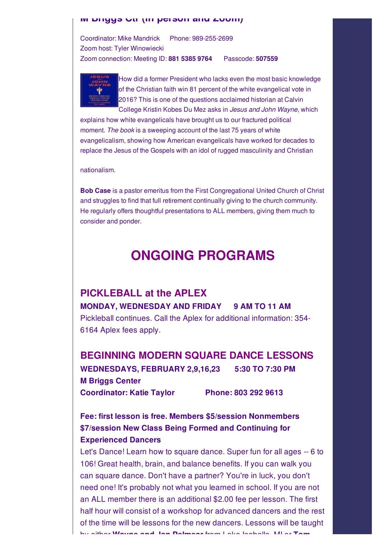#### **M Briggs Ctr (in person and Zoom)**

Coordinator: Mike Mandrick Phone: 989-255-2699 Zoom host: Tyler Winowiecki Zoom connection: Meeting ID: **881 5385 9764** Passcode: **507559**



How did a former President who lacks even the most basic knowledge of the Christian faith win 81 percent of the white evangelical vote in 2016? This is one of the questions acclaimed historian at Calvin College Kristin Kobes Du Mez asks in *Jesus and John Wayne*, which

explains how white evangelicals have brought us to our fractured political moment. *The book* is a sweeping account of the last 75 years of white evangelicalism, showing how American evangelicals have worked for decades to replace the Jesus of the Gospels with an idol of rugged masculinity and Christian

nationalism.

**Bob Case** is a pastor emeritus from the First Congregational United Church of Christ and struggles to find that full retirement continually giving to the church community. He regularly offers thoughtful presentations to ALL members, giving them much to consider and ponder.

# **ONGOING PROGRAMS**

## **PICKLEBALL at the APLEX MONDAY, WEDNESDAY AND FRIDAY 9 AM TO 11 AM** Pickleball continues. Call the Aplex for additional information: 354- 6164 Aplex fees apply.

#### **BEGINNING MODERN SQUARE DANCE LESSONS**

**WEDNESDAYS, FEBRUARY 2,9,16,23 5:30 TO 7:30 PM M Briggs Center Coordinator: Katie Taylor Phone: 803 292 9613**

**Fee: first lesson is free. Members \$5/session Nonmembers \$7/session New Class Being Formed and Continuing for Experienced Dancers**

Let's Dance! Learn how to square dance. Super fun for all ages -- 6 to 106! Great health, brain, and balance benefits. If you can walk you can square dance. Don't have a partner? You're in luck, you don't need one! It's probably not what you learned in school. If you are not an ALL member there is an additional \$2.00 fee per lesson. The first half hour will consist of a workshop for advanced dancers and the rest of the time will be lessons for the new dancers. Lessons will be taught by either **Wayne and Jan Pelmear** from Lake Isabella, MI or **Tom**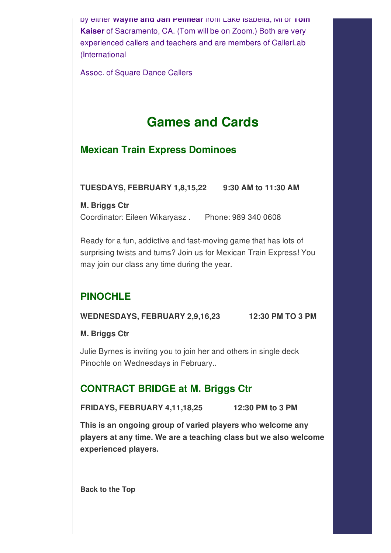by either **Wayne and Jan Pelmear** from Lake Isabella, MI or **Tom Kaiser** of Sacramento, CA. (Tom will be on Zoom.) Both are very experienced callers and teachers and are members of CallerLab (International

Assoc. of Square Dance Callers

# **Games and Cards**

# **Mexican Train Express Dominoes**

**TUESDAYS, FEBRUARY 1,8,15,22 9:30 AM to 11:30 AM**

**M. Briggs Ctr** Coordinator: Eileen Wikaryasz . Phone: 989 340 0608

Ready for a fun, addictive and fast-moving game that has lots of surprising twists and turns? Join us for Mexican Train Express! You may join our class any time during the year.

# **PINOCHLE**

**WEDNESDAYS, FEBRUARY 2,9,16,23 12:30 PM TO 3 PM**

**M. Briggs Ctr**

Julie Byrnes is inviting you to join her and others in single deck Pinochle on Wednesdays in February..

# **CONTRACT BRIDGE at M. Briggs Ctr**

**FRIDAYS, FEBRUARY 4,11,18,25 12:30 PM to 3 PM**

**This is an ongoing group of varied players who welcome any players at any time. We are a teaching class but we also welcome experienced players.**

**Back to the Top**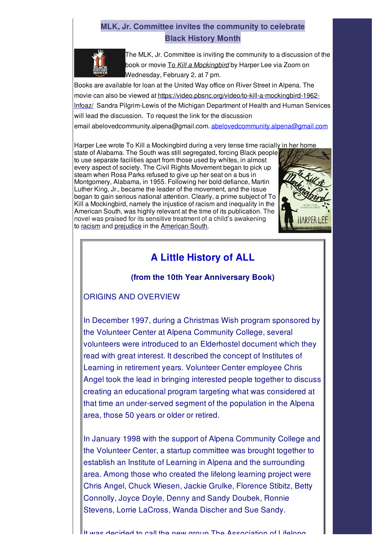### **MLK, Jr. Committee invites the community to celebrate Black History Month**



The MLK, Jr. Committee is inviting the community to a discussion of the book or movie To *Kill a Mockingbird* by Harper Lee via Zoom on Wednesday, February 2, at 7 pm.

Books are available for loan at the United Way office on River Street in Alpena. The movie can also be viewed at https://video.pbsnc.org/video/to-kill-a-mockingbird-1962lnfoaz/ Sandra Pilgrim-Lewis of the Michigan Department of Health and Human Services will lead the discussion. To request the link for the discussion email abelovedcommunity.alpena@gmail.com. abelovedcommunity.alpena@gmail.com

Harper Lee wrote To Kill a Mockingbird during a very tense time racially in her home

state of Alabama. The South was still segregated, forcing Black people to use separate facilities apart from those used by whites, in almost every aspect of society. The Civil Rights Movement began to pick up steam when Rosa Parks refused to give up her seat on a bus in Montgomery, Alabama, in 1955. Following her bold defiance, Martin Luther King, Jr., became the leader of the movement, and the issue began to gain serious national attention. Clearly, a prime subject of To Kill a Mockingbird, namely the injustice of racism and inequality in the American South, was highly relevant at the time of its publication. The novel was praised for its sensitive treatment of a child's awakening to racism and prejudice in the American South.



# **A Little History of ALL**

#### **(from the 10th Year Anniversary Book)**

#### ORIGINS AND OVERVIEW

In December 1997, during a Christmas Wish program sponsored by the Volunteer Center at Alpena Community College, several volunteers were introduced to an Elderhostel document which they read with great interest. It described the concept of Institutes of Learning in retirement years. Volunteer Center employee Chris Angel took the lead in bringing interested people together to discuss creating an educational program targeting what was considered at that time an under-served segment of the population in the Alpena area, those 50 years or older or retired.

In January 1998 with the support of Alpena Community College and the Volunteer Center, a startup committee was brought together to establish an Institute of Learning in Alpena and the surrounding area. Among those who created the lifelong learning project were Chris Angel, Chuck Wiesen, Jackie Grulke, Florence Stibitz, Betty Connolly, Joyce Doyle, Denny and Sandy Doubek, Ronnie Stevens, Lorrie LaCross, Wanda Discher and Sue Sandy.

It was decided to call the new group The Association of Lifelong